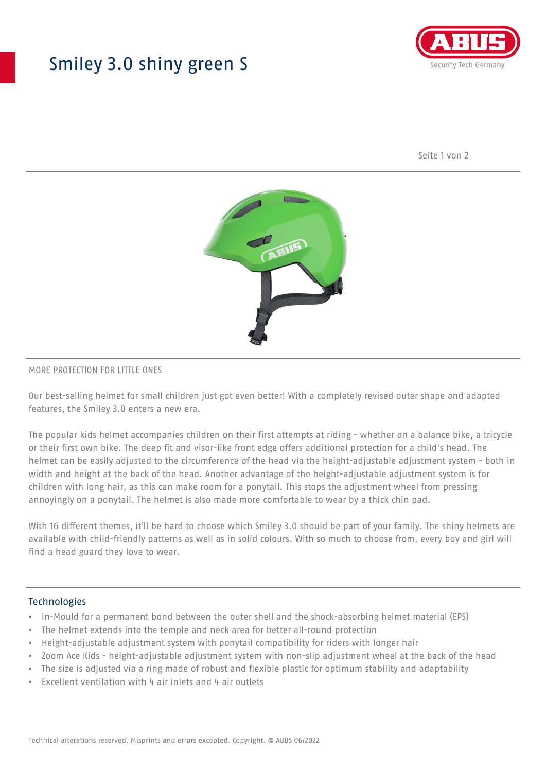## Smiley 3.0 shiny green S



Seite 1 von 2



#### MORE PROTECTION FOR LITTLE ONES

Our best-selling helmet for small children just got even better! With a completely revised outer shape and adapted features, the Smiley 3.0 enters a new era.

The popular kids helmet accompanies children on their first attempts at riding - whether on a balance bike, a tricycle or their first own bike. The deep fit and visor-like front edge offers additional protection for a child's head. The helmet can be easily adjusted to the circumference of the head via the height-adjustable adjustment system - both in width and height at the back of the head. Another advantage of the height-adjustable adjustment system is for children with long hair, as this can make room for a ponytail. This stops the adjustment wheel from pressing annoyingly on a ponytail. The helmet is also made more comfortable to wear by a thick chin pad.

With 16 different themes, it'll be hard to choose which Smiley 3.0 should be part of your family. The shiny helmets are available with child-friendly patterns as well as in solid colours. With so much to choose from, every boy and girl will find a head guard they love to wear.

#### Technologies

- In-Mould for a permanent bond between the outer shell and the shock-absorbing helmet material (EPS)
- The helmet extends into the temple and neck area for better all-round protection
- Height-adjustable adjustment system with ponytail compatibility for riders with longer hair
- Zoom Ace Kids height-adjustable adjustment system with non-slip adjustment wheel at the back of the head
- The size is adjusted via a ring made of robust and flexible plastic for optimum stability and adaptability
- Excellent ventilation with 4 air inlets and 4 air outlets